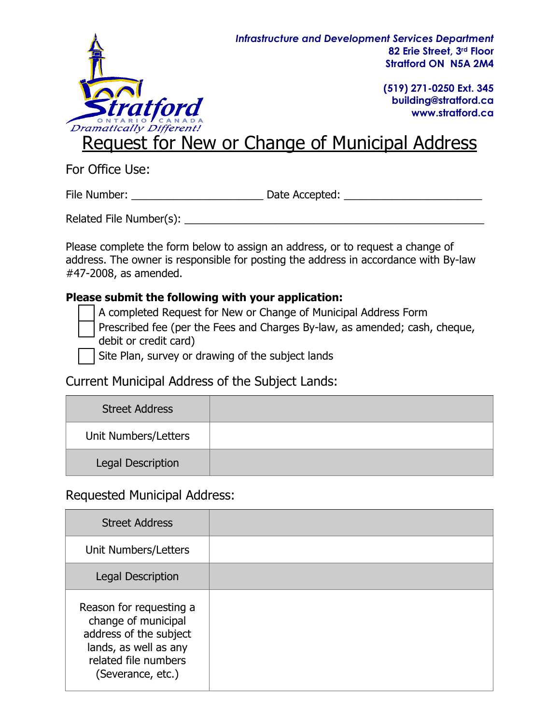

File Number: \_\_\_\_\_\_\_\_\_\_\_\_\_\_\_\_\_\_\_\_\_\_ Date Accepted: \_\_\_\_\_\_\_\_\_\_\_\_\_\_\_\_\_\_\_\_\_\_\_

Related File Number(s): \_\_\_\_\_\_\_\_\_\_\_\_\_\_\_\_\_\_\_\_\_\_\_\_\_\_\_\_\_\_\_\_\_\_\_\_\_\_\_\_\_\_\_\_\_\_\_\_\_\_

Please complete the form below to assign an address, or to request a change of address. The owner is responsible for posting the address in accordance with By-law #47-2008, as amended.

#### **Please submit the following with your application:**

A completed Request for New or Change of Municipal Address Form

 Prescribed fee (per the Fees and Charges By-law, as amended; cash, cheque, debit or credit card)

Site Plan, survey or drawing of the subject lands

Current Municipal Address of the Subject Lands:

| <b>Street Address</b> |  |
|-----------------------|--|
| Unit Numbers/Letters  |  |
| Legal Description     |  |

### Requested Municipal Address:

**Information Requested Response**

| <b>Street Address</b>                                                                                                                          |  |
|------------------------------------------------------------------------------------------------------------------------------------------------|--|
| Unit Numbers/Letters                                                                                                                           |  |
| Legal Description                                                                                                                              |  |
| Reason for requesting a<br>change of municipal<br>address of the subject<br>lands, as well as any<br>related file numbers<br>(Severance, etc.) |  |